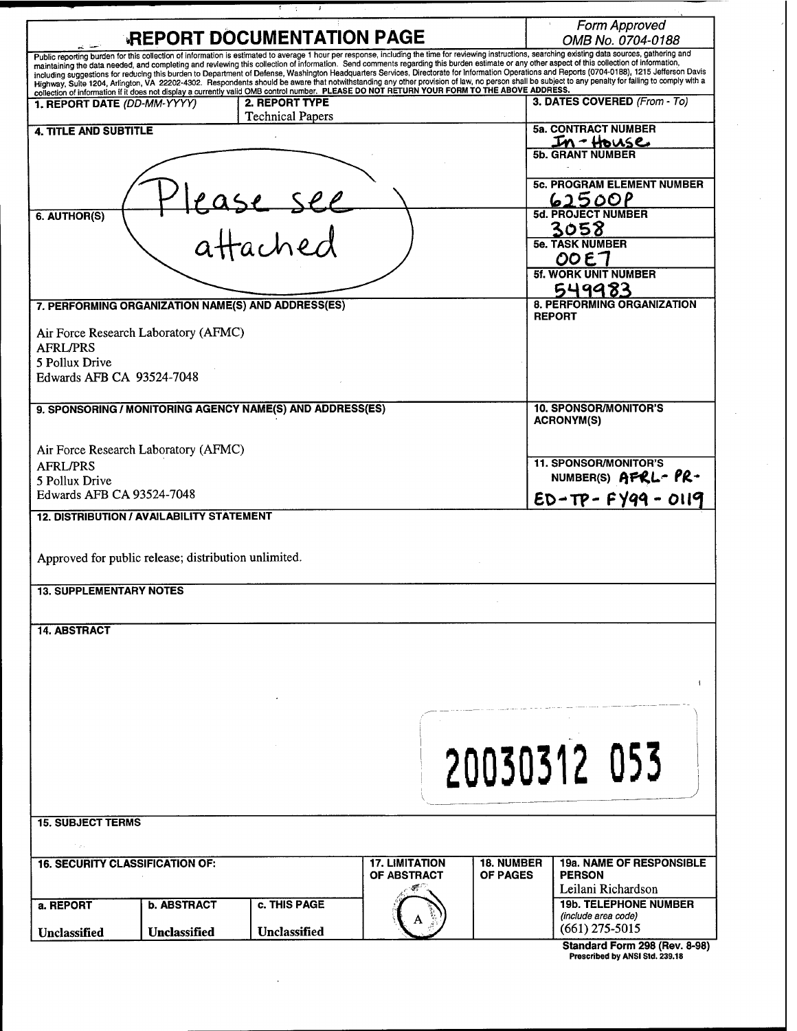| <b>REPORT DOCUMENTATION PAGE</b>                                                                                                                                                                                                                                                                                                                                                                       |                                           |                                      | Form Approved<br>OMB No. 0704-0188                |  |
|--------------------------------------------------------------------------------------------------------------------------------------------------------------------------------------------------------------------------------------------------------------------------------------------------------------------------------------------------------------------------------------------------------|-------------------------------------------|--------------------------------------|---------------------------------------------------|--|
| Public reporting burden for this collection of information is estimated to average 1 hour per response, including the time for reviewing instructions, searching existing data sources, gathering and<br>maintaining the data needed, and completing and reviewing this collection of information. Send comments regarding this burden estimate or any other aspect of this collection of information, |                                           |                                      |                                                   |  |
| including suggestions for reducing this burden to Department of Defense, Washington Headquarters Services, Directorate for Information Operations and Reports (0704-0188), 1215 Jefferson Davis<br>Highway, Suite 1204, Arlington, VA 22202-4302. Respondents should be aware that notwithstanding any other provision of law, no person shall be subject to any penalty for failing to comply with a  |                                           |                                      |                                                   |  |
| collection of information if it does not display a currently valid OMB control number. PLEASE DO NOT RETURN YOUR FORM TO THE ABOVE ADDRESS.                                                                                                                                                                                                                                                            |                                           |                                      |                                                   |  |
| 1. REPORT DATE (DD-MM-YYYY)                                                                                                                                                                                                                                                                                                                                                                            | 2. REPORT TYPE<br><b>Technical Papers</b> |                                      | 3. DATES COVERED (From - To)                      |  |
| <b>4. TITLE AND SUBTITLE</b>                                                                                                                                                                                                                                                                                                                                                                           |                                           |                                      | <b>5a. CONTRACT NUMBER</b>                        |  |
|                                                                                                                                                                                                                                                                                                                                                                                                        |                                           |                                      | 50. GRANT NUMBER                                  |  |
|                                                                                                                                                                                                                                                                                                                                                                                                        |                                           |                                      |                                                   |  |
|                                                                                                                                                                                                                                                                                                                                                                                                        |                                           |                                      | <b>5c. PROGRAM ELEMENT NUMBER</b>                 |  |
|                                                                                                                                                                                                                                                                                                                                                                                                        | lease see<br>attached                     |                                      | <u>62500P</u>                                     |  |
| 6. AUTHOR(S)                                                                                                                                                                                                                                                                                                                                                                                           |                                           |                                      | 5d. PROJECT NUMBER                                |  |
|                                                                                                                                                                                                                                                                                                                                                                                                        |                                           |                                      | 3058                                              |  |
|                                                                                                                                                                                                                                                                                                                                                                                                        |                                           |                                      | <b>5e. TASK NUMBER</b>                            |  |
|                                                                                                                                                                                                                                                                                                                                                                                                        |                                           |                                      | OOET                                              |  |
|                                                                                                                                                                                                                                                                                                                                                                                                        |                                           |                                      | <b>5f. WORK UNIT NUMBER</b>                       |  |
|                                                                                                                                                                                                                                                                                                                                                                                                        |                                           |                                      | 549983<br><b>8. PERFORMING ORGANIZATION</b>       |  |
| 7. PERFORMING ORGANIZATION NAME(S) AND ADDRESS(ES)                                                                                                                                                                                                                                                                                                                                                     |                                           |                                      | <b>REPORT</b>                                     |  |
| Air Force Research Laboratory (AFMC)                                                                                                                                                                                                                                                                                                                                                                   |                                           |                                      |                                                   |  |
| <b>AFRL/PRS</b>                                                                                                                                                                                                                                                                                                                                                                                        |                                           |                                      |                                                   |  |
| 5 Pollux Drive                                                                                                                                                                                                                                                                                                                                                                                         |                                           |                                      |                                                   |  |
| Edwards AFB CA 93524-7048                                                                                                                                                                                                                                                                                                                                                                              |                                           |                                      |                                                   |  |
|                                                                                                                                                                                                                                                                                                                                                                                                        |                                           |                                      |                                                   |  |
| 9. SPONSORING / MONITORING AGENCY NAME(S) AND ADDRESS(ES)                                                                                                                                                                                                                                                                                                                                              |                                           |                                      | <b>10. SPONSOR/MONITOR'S</b><br><b>ACRONYM(S)</b> |  |
|                                                                                                                                                                                                                                                                                                                                                                                                        |                                           |                                      |                                                   |  |
| Air Force Research Laboratory (AFMC)                                                                                                                                                                                                                                                                                                                                                                   |                                           |                                      |                                                   |  |
| <b>AFRL/PRS</b>                                                                                                                                                                                                                                                                                                                                                                                        |                                           |                                      | <b>11. SPONSOR/MONITOR'S</b>                      |  |
| 5 Pollux Drive                                                                                                                                                                                                                                                                                                                                                                                         |                                           |                                      | NUMBER(S) AFRL-PR-                                |  |
| Edwards AFB CA 93524-7048                                                                                                                                                                                                                                                                                                                                                                              |                                           |                                      | $ED - TP - FY99 - O119$                           |  |
| <b>12. DISTRIBUTION / AVAILABILITY STATEMENT</b>                                                                                                                                                                                                                                                                                                                                                       |                                           |                                      |                                                   |  |
|                                                                                                                                                                                                                                                                                                                                                                                                        |                                           |                                      |                                                   |  |
|                                                                                                                                                                                                                                                                                                                                                                                                        |                                           |                                      |                                                   |  |
| Approved for public release; distribution unlimited.                                                                                                                                                                                                                                                                                                                                                   |                                           |                                      |                                                   |  |
| <b>13. SUPPLEMENTARY NOTES</b>                                                                                                                                                                                                                                                                                                                                                                         |                                           |                                      |                                                   |  |
|                                                                                                                                                                                                                                                                                                                                                                                                        |                                           |                                      |                                                   |  |
|                                                                                                                                                                                                                                                                                                                                                                                                        |                                           |                                      |                                                   |  |
| <b>14. ABSTRACT</b>                                                                                                                                                                                                                                                                                                                                                                                    |                                           |                                      |                                                   |  |
|                                                                                                                                                                                                                                                                                                                                                                                                        |                                           |                                      |                                                   |  |
|                                                                                                                                                                                                                                                                                                                                                                                                        |                                           |                                      |                                                   |  |
|                                                                                                                                                                                                                                                                                                                                                                                                        |                                           |                                      |                                                   |  |
|                                                                                                                                                                                                                                                                                                                                                                                                        |                                           |                                      |                                                   |  |
|                                                                                                                                                                                                                                                                                                                                                                                                        |                                           |                                      |                                                   |  |
|                                                                                                                                                                                                                                                                                                                                                                                                        |                                           |                                      |                                                   |  |
|                                                                                                                                                                                                                                                                                                                                                                                                        |                                           |                                      |                                                   |  |
|                                                                                                                                                                                                                                                                                                                                                                                                        |                                           |                                      | 20030312 053                                      |  |
|                                                                                                                                                                                                                                                                                                                                                                                                        |                                           |                                      |                                                   |  |
|                                                                                                                                                                                                                                                                                                                                                                                                        |                                           |                                      |                                                   |  |
| <b>15. SUBJECT TERMS</b>                                                                                                                                                                                                                                                                                                                                                                               |                                           |                                      |                                                   |  |
|                                                                                                                                                                                                                                                                                                                                                                                                        |                                           |                                      |                                                   |  |
|                                                                                                                                                                                                                                                                                                                                                                                                        |                                           |                                      |                                                   |  |
| <b>16. SECURITY CLASSIFICATION OF:</b>                                                                                                                                                                                                                                                                                                                                                                 | <b>17. LIMITATION</b><br>OF ABSTRACT      | <b>18. NUMBER</b><br><b>OF PAGES</b> | <b>19a. NAME OF RESPONSIBLE</b><br><b>PERSON</b>  |  |
|                                                                                                                                                                                                                                                                                                                                                                                                        |                                           |                                      | Leilani Richardson                                |  |
| <b>b. ABSTRACT</b><br>a. REPORT                                                                                                                                                                                                                                                                                                                                                                        | c. THIS PAGE                              |                                      | <b>19b. TELEPHONE NUMBER</b>                      |  |
|                                                                                                                                                                                                                                                                                                                                                                                                        |                                           |                                      | (include area code)                               |  |
| Unclassified<br>Unclassified                                                                                                                                                                                                                                                                                                                                                                           | <b>Unclassified</b>                       |                                      | $(661)$ 275-5015                                  |  |
|                                                                                                                                                                                                                                                                                                                                                                                                        |                                           |                                      | Standard Form 298 (Rev. 8-98)                     |  |

 $\ddot{\phantom{a}}$ 

तार

 $\cdot$ 

**Standard Form 298 (Rev. 8-98) Prescribed by ANSI Std. 239.18**

 $\ddot{\phantom{a}}$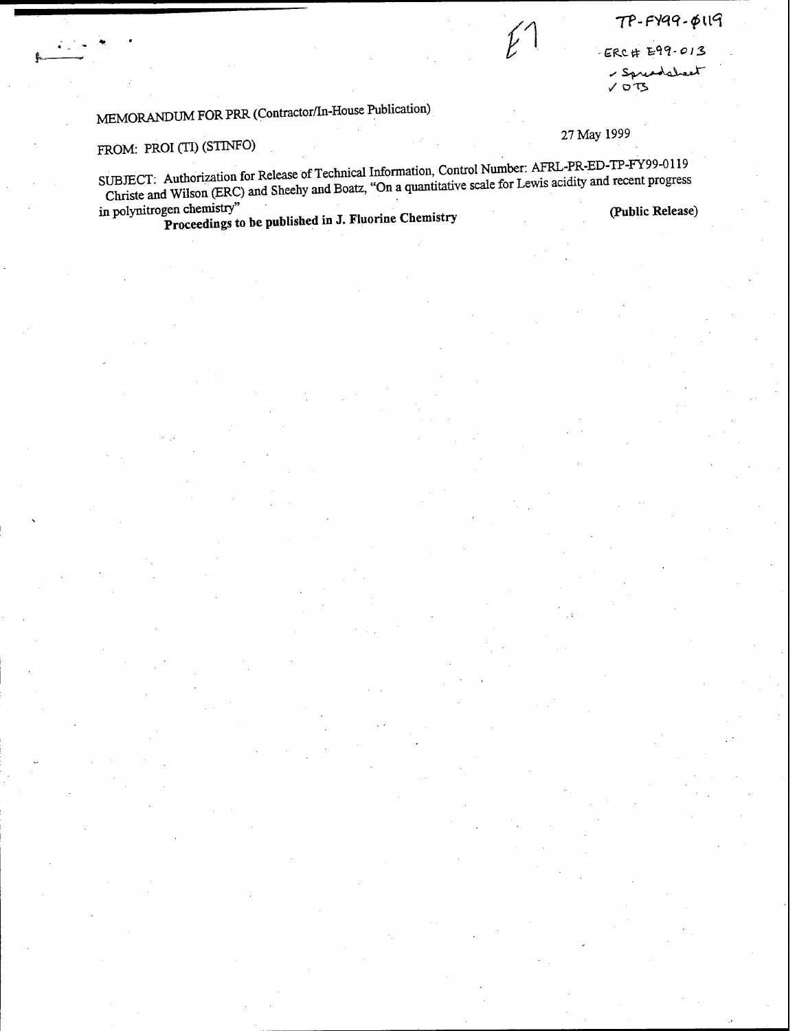$T P - F Y q q - \phi q q$ 

ERC# E99-013

- Spreadsheet  $V$  ors

27 May 1999

# MEMORANDUM FOR PRR (Contractor/In-House Publication)

FROM: PROI (TI) (STINFO)<br>SUBJECT: Authorization for Release of Technical Information, Control Number: AFRL-PR-ED-TP-FY99-0119 Christe and Wilson (ERC) and Sheehy and Boatz, "On a quantitative scale for Lewis acidity and recent progress<br>in polynitrogen chemistry"<br>**Proceedings** to be published in J. Fluorine Chemistry (Public Release)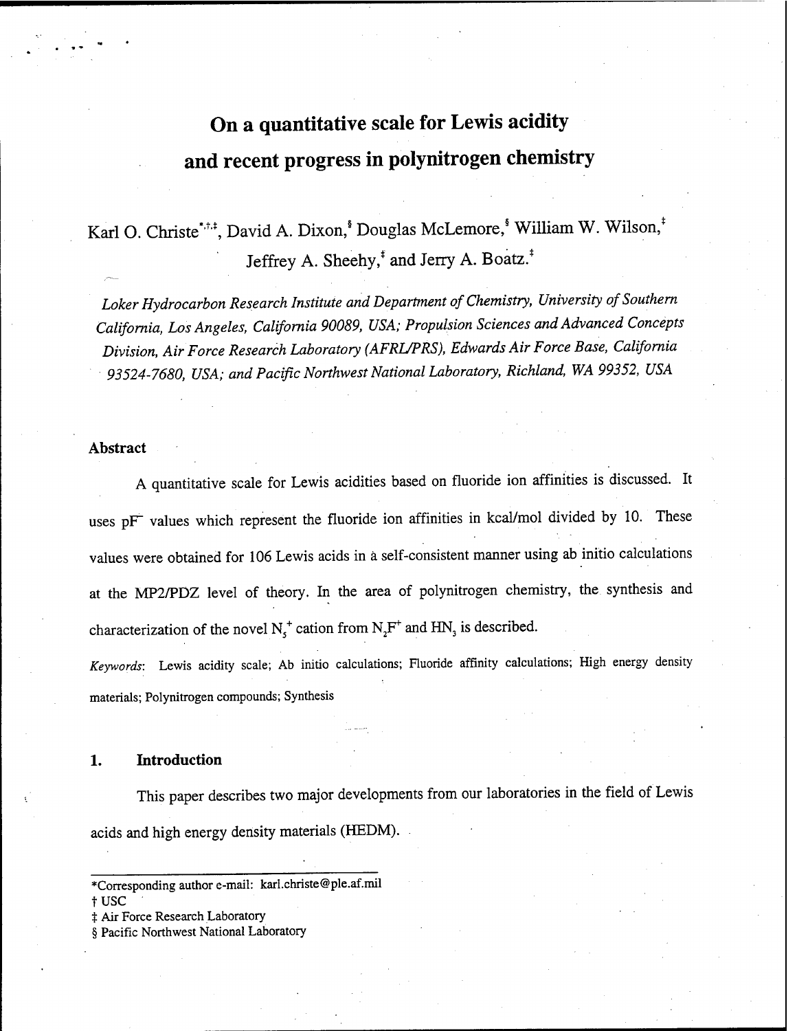# **On a quantitative scale for Lewis acidity and recent progress in polynitrogen chemistry**

Karl O. Christe\*,\*,\*,\*,\*, David A. Dixon,\* Douglas McLemore,\* William W. Wilson,\* Jeffrey A. Sheehy,\* and Jerry A. Boatz.\*

*Loker Hydrocarbon Research Institute and Department of Chemistry, University ofSouthern California, Los Angeles, California 90089, USA; Propulsion Sciences and Advanced Concepts Division, Air Force Research Laboratory (AFRL/PRS), Edwards Air Force Base, California 93524-7680, USA; and Pacific Northwest National Laboratory, Richland, WA 99352, USA*

## **Abstract**

A quantitative scale for Lewis acidities based on fluoride ion affinities is discussed. It uses pF values which represent the fluoride ion affinities in kcal/mol divided by 10. These values were obtained for 106 Lewis acids in a self-consistent manner using ab initio calculations at the MP2/PDZ level of theory. In the area of polynitrogen chemistry, the synthesis and characterization of the novel  $N_s^+$  cation from  $N_2F^+$  and HN<sub>3</sub> is described.

Keywords: Lewis acidity scale; Ab initio calculations; Fluoride affinity calculations; High energy density materials; Polynitrogen compounds; Synthesis

### **1. Introduction**

This paper describes two major developments from our laboratories in the field of Lewis acids and high energy density materials (HEDM).

tusc

 $\ddagger$  Air Force Research Laboratory

§ Pacific Northwest National Laboratory

<sup>\*</sup>Corresponding author e-mail: karl.christe@ple.af.mil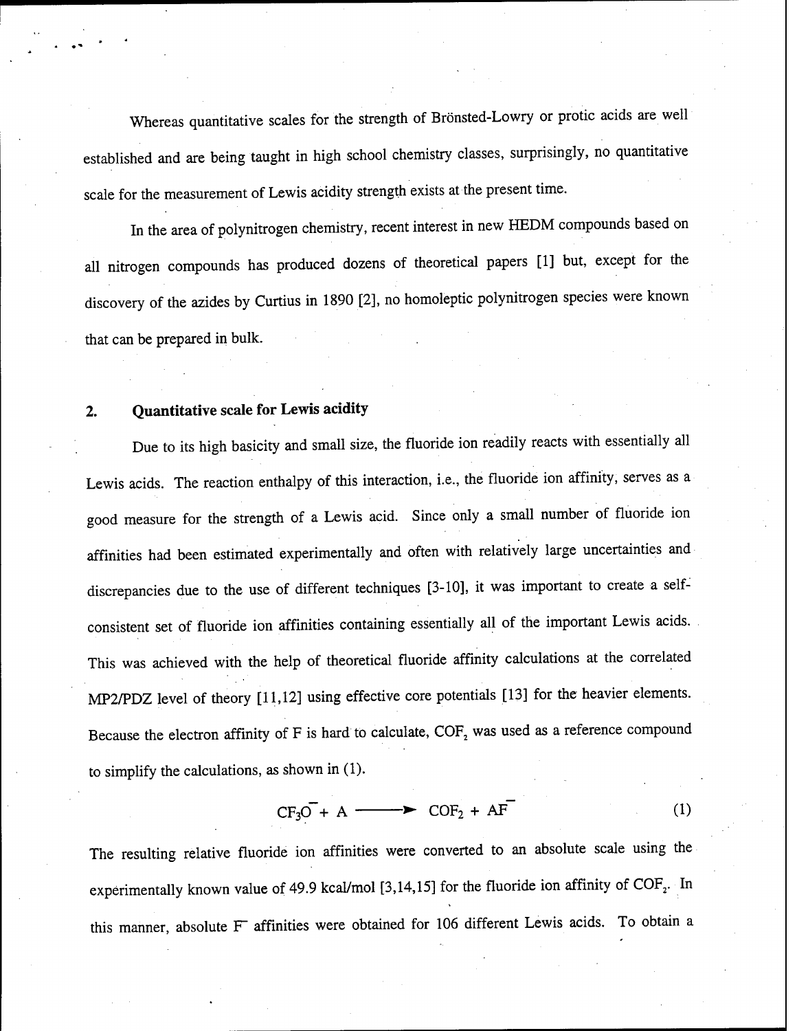Whereas quantitative scales for the strength of Brönsted-Lowry or protic acids are well established and are being taught in high school chemistry classes, surprisingly, no quantitative scale for the measurement of Lewis acidity strength exists at the present time.

In the area of polynitrogen chemistry, recent interest in new HEDM compounds based on all nitrogen compounds has produced dozens of theoretical papers [1] but, except for the discovery of the azides by Curtius in 1890 [2], no homoleptic polynitrogen species were known that can be prepared in bulk.

## **2. Quantitative scale for Lewis acidity**

Due to its high basicity and small size, the fluoride ion readily reacts with essentially all Lewis acids. The reaction enthalpy of this interaction, i.e., the fluoride ion affinity, serves as a good measure for the strength of a Lewis acid. Since only a small number of fluoride ion affinities had been estimated experimentally and often with relatively large uncertainties and discrepancies due to the use of different techniques [3-10], it was important to create a selfconsistent set of fluoride ion affinities containing essentially all of the important Lewis acids. This was achieved with the help of theoretical fluoride affinity calculations at the correlated MP2/PDZ level of theory [11,12] using effective core potentials [13] for the heavier elements. Because the electron affinity of F is hard to calculate,  $COF<sub>2</sub>$  was used as a reference compound to simplify the calculations, as shown in (1).

$$
CF_3O + A \longrightarrow COF_2 + AF
$$
 (1)

The resulting relative fluoride ion affinities were converted to an absolute scale using the experimentally known value of 49.9 kcal/mol [3,14,15] for the fluoride ion affinity of  $\text{COF}_2$ . In this manner, absolute F affinities were obtained for <sup>106</sup> different Lewis acids. To obtain <sup>a</sup>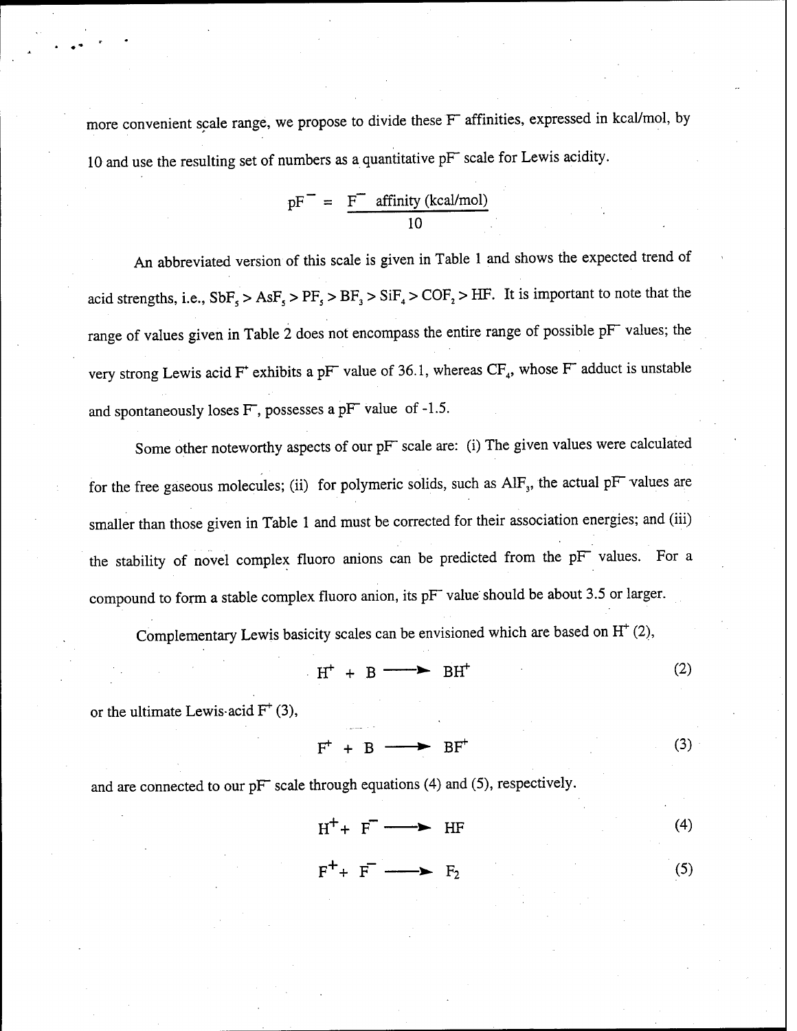more convenient scale range, we propose to divide these F affinities, expressed in kcal/mol, by <sup>10</sup> and use the resulting set of numbers as a quantitative pF scale for Lewis acidity.

$$
pF^{-}
$$
 =  $\frac{F^{-}}{10}$  affinity (kcal/mol)

An abbreviated version of this scale is given in Table <sup>1</sup> and shows the expected trend of acid strengths, i.e.,  $SbF_s > AsF_s > PF_s > BF_s > SiF_s > COF_s > HF$ . It is important to note that the range of values given in Table <sup>2</sup> does not encompass the entire range of possible pF values; the very strong Lewis acid F<sup>+</sup> exhibits a pF<sup> $-$ </sup> value of 36.1, whereas CF<sub>4</sub>, whose F<sup> $-$ </sup> adduct is unstable and spontaneously loses F, possesses <sup>a</sup> pF value of -1.5.

Some other noteworthy aspects of our pF scale are: (i) The given values were calculated for the free gaseous molecules; (ii) for polymeric solids, such as AlF<sub>3</sub>, the actual pF values are smaller than those given in Table <sup>1</sup> and must be corrected for their association energies; and (iii) the stability of novel complex fluoro anions can be predicted from the pF values. For a compound to form a stable complex fluoro anion, its pF value should be about 3.5 or larger.

Complementary Lewis basicity scales can be envisioned which are based on H\* (2),

$$
H^+ + B \longrightarrow BH^+ \tag{2}
$$

or the ultimate Lewis-acid  $F^+$  (3),

$$
F^+ + B \longrightarrow BF^+ \tag{3}
$$

and are connected to our pF scale through equations (4) and (5), respectively.

$$
H^+ + F^- \longrightarrow HF
$$
 (4)

$$
F^+ + F^- \longrightarrow F_2 \tag{5}
$$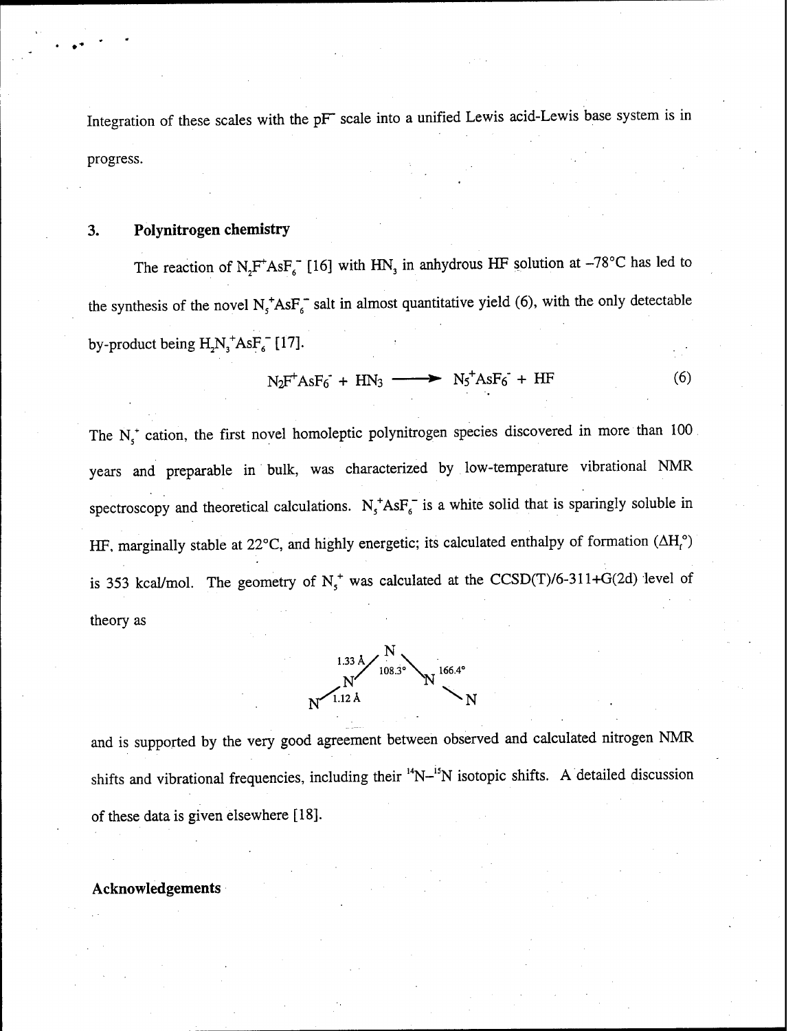Integration of these scales with the pF scale into a unified Lewis acid-Lewis base system is in progress.

## **3. Polynitrogen chemistry**

The reaction of  $N_2F^+AsF_6^-$  [16] with HN<sub>3</sub> in anhydrous HF solution at -78°C has led to the synthesis of the novel  $N_s^*AsF_s^-$  salt in almost quantitative yield (6), with the only detectable by-product being  $H_2N_3^+AsF_6^-$  [17].

$$
N_2F^+AsF_6 + HN_3 \longrightarrow N_5^+AsF_6 + HF \tag{6}
$$

The  $N_{5}^{+}$  cation, the first novel homoleptic polynitrogen species discovered in more than 100 years and preparable in bulk, was characterized by low-temperature vibrational NMR spectroscopy and theoretical calculations.  $N_f^+ AsF_f^-$  is a white solid that is sparingly soluble in HF, marginally stable at 22°C, and highly energetic; its calculated enthalpy of formation  $(\Delta H_f^{\circ})$ is 353 kcal/mol. The geometry of  $N_s^+$  was calculated at the CCSD(T)/6-311+G(2d) level of theory as



and is supported by the very good agreement between observed and calculated nitrogen NMR shifts and vibrational frequencies, including their <sup>14</sup>N-<sup>15</sup>N isotopic shifts. A detailed discussion of these data is given elsewhere [18].

## **Acknowledgements**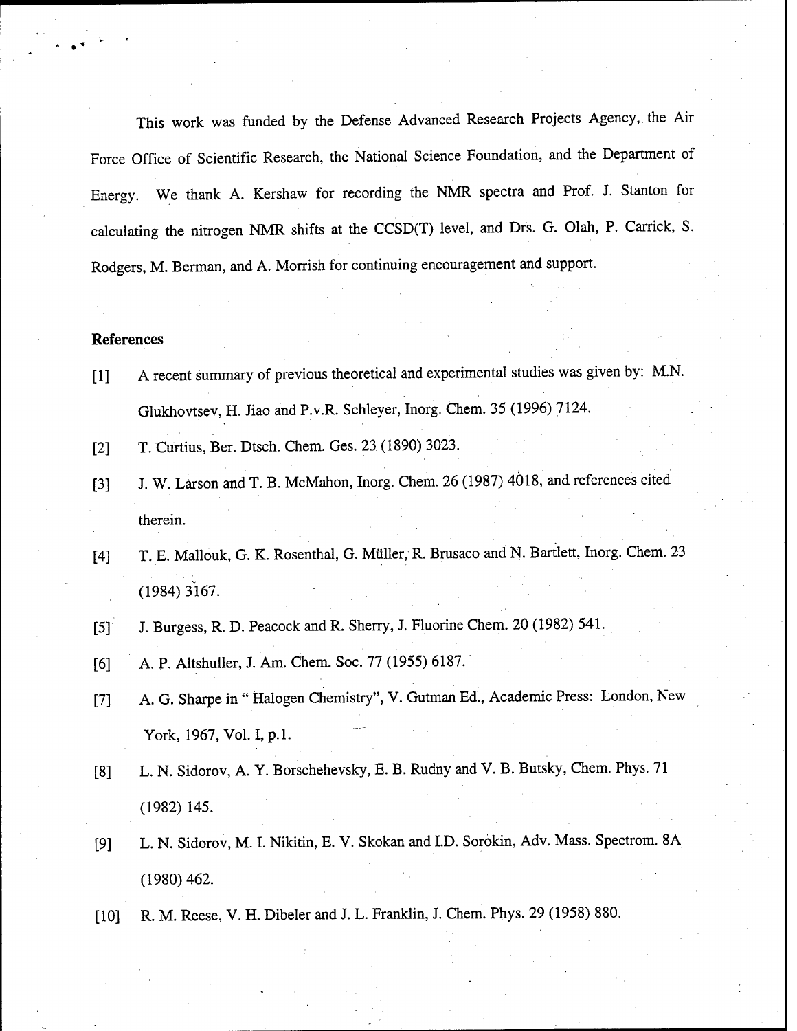This work was funded by the Defense Advanced Research Projects Agency, the Air Force Office of Scientific Research, the National Science Foundation, and the Department of Energy. We thank A. Kershaw for recording the NMR spectra and Prof. J. Stanton for calculating the nitrogen NMR shifts at the CCSD(T) level, and Drs. G. Olah, P. Carrick, S. Rodgers, M. Berman, and A. Morrish for continuing encouragement and support.

## **References**

- [1] A recent summary of previous theoretical and experimental studies was given by: M.N. Glukhovtsev, H. Jiao and P.v.R. Schleyer, Inorg. Chem. 35 (1996) 7124.
- [2] T. Curtius, Ber. Dtsch. Chem. Ges. 23 (1890) 3023.
- [3] J. W. Larson and T. B. McMahon, Inorg. Chem. 26 (1987) 4018, and references cited therein.
- [4] T. E. Mallouk, G. K. Rosenthal, G. Miiller, R. Brusaco and N. Bartlett, Inorg. Chem. 23 (1984) 3167.
- [5] J. Burgess, R. D. Peacock and R. Sherry, J. Fluorine Chem. 20 (1982) 541.
- [6] A. p. Altshuller, J. Am. Chem. Soc. 77 (1955) 6187.
- [7] A. G. Sharpe in " Halogen Chemistry", V. Gutman Ed., Academic Press: London, New York, 1967, Vol. I, p.1.
- [8] L. N. Sidorov, A. Y. Borschehevsky, E. B. Rudny and V. B. Butsky, Chem. Phys. 71 (1982) 145.
- [9] L. N. Sidorov, M. I. Nikitin, E. V. Skokan and ID. Sorokin, Adv. Mass. Spectrom. 8A (1980) 462.
- [10] R. M. Reese, V. H. Dibeler and J. L. Franklin, J. Chem. Phys. 29 (1958) 880.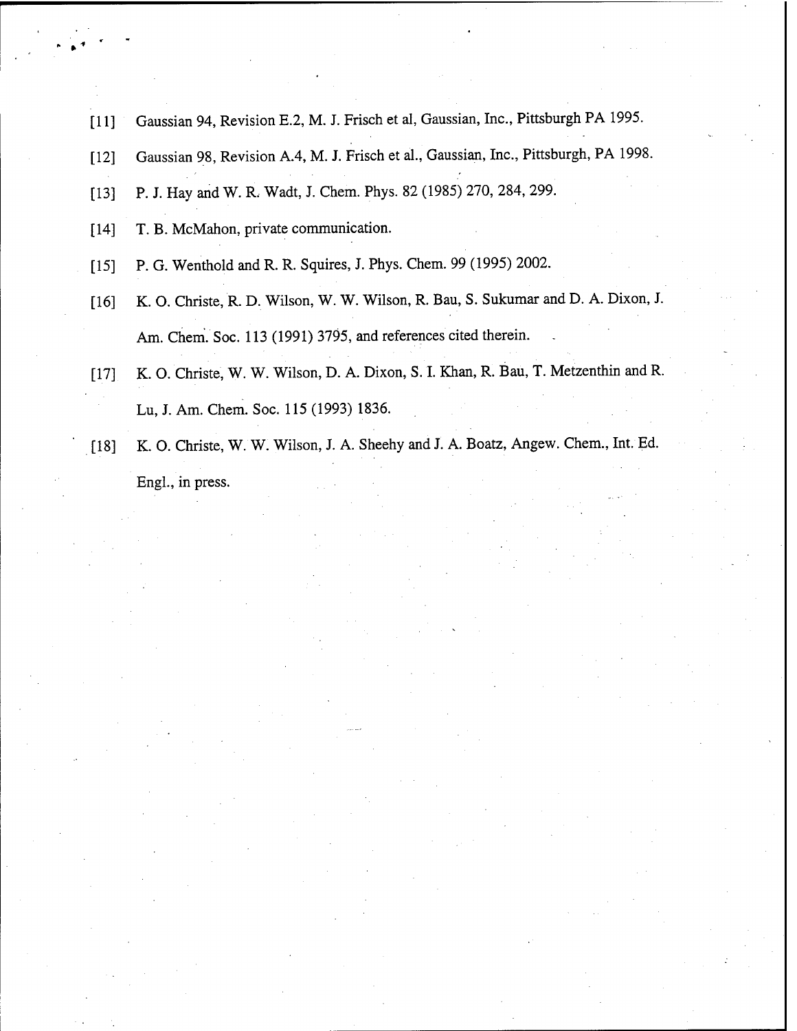- [11] Gaussian 94, Revision E.2, M. J. Frisch et al, Gaussian, Inc., Pittsburgh PA 1995.
- [12] Gaussian 98, Revision A.4, M. J. Frisch et al., Gaussian, Inc., Pittsburgh, PA 1998.
- [13] P. J. Hay and W. R. Wadt, J. Chem. Phys. 82 (1985) 270, 284, 299.
- [14] T. B. McMahon, private communication.
- [15] P. G. Wenthold and R. R. Squires, J. Phys. Chem. 99 (1995) 2002.
- [16] K. O. Christe, R. D. Wilson, W. W. Wilson, R. Bau, S. Sukumar and D. A. Dixon, J. Am. Chem. Soc. 113 (1991) 3795, and references cited therein.
- [17] K. O. Christe, W. W. Wilson, D. A. Dixon, S. I. Khan, R. Bau, T. Metzenthin and R. Lu, J. Am. Chem. Soc. 115 (1993) 1836.
- [18] K. O. Christe, W. W. Wilson, J. A. Sheehy and J. A. Boatz, Angew. Chem., Int. Ed. EngL, in press.